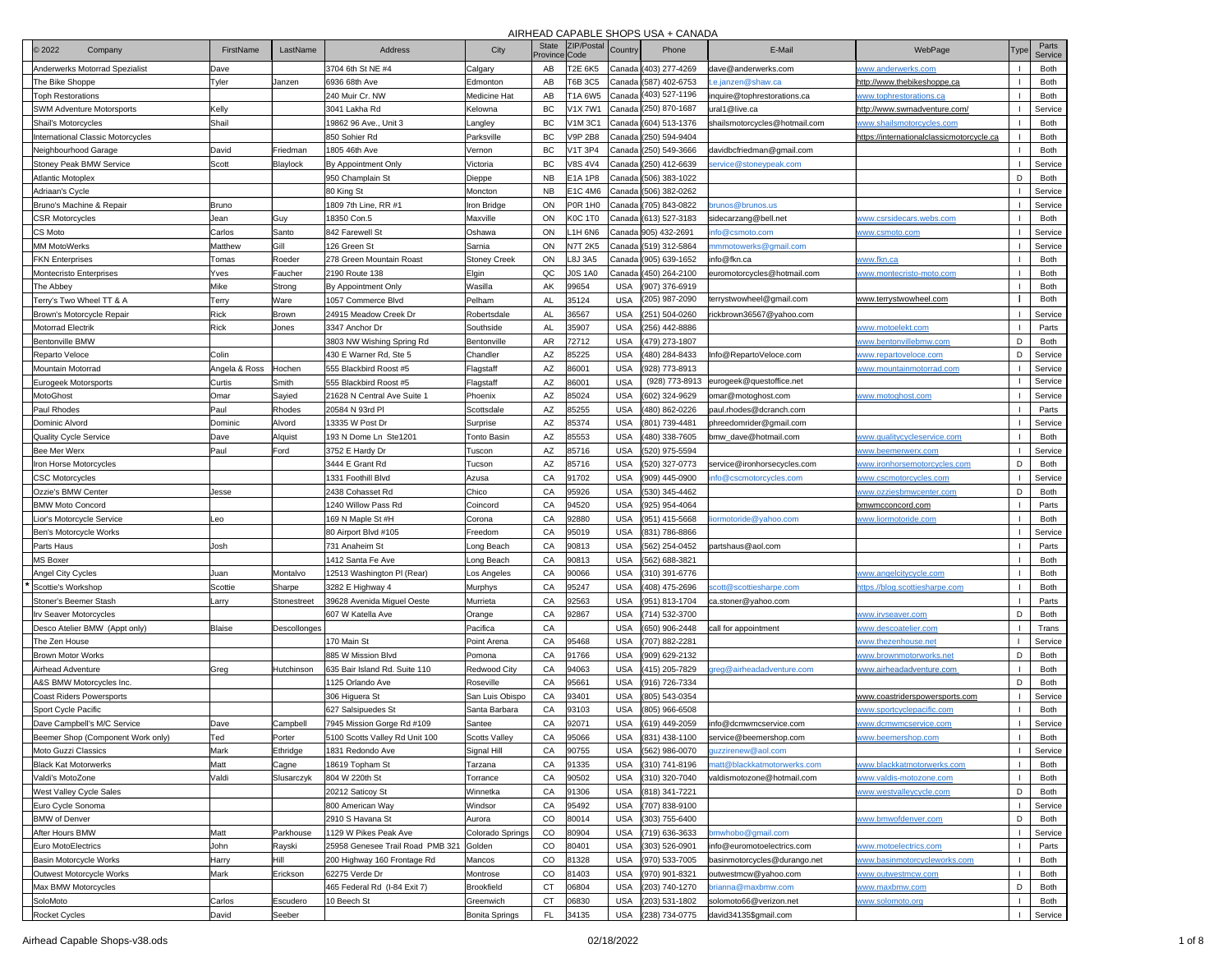| <b>2022</b><br>Company            | FirstName     | LastName     | <b>Address</b>                          | City                  | <b>State</b><br>Province Code | ZIP/Postal     | Country    | Phone                  | E-Mail                        | WebPage                                          | Туре           | Parts<br>Service |
|-----------------------------------|---------------|--------------|-----------------------------------------|-----------------------|-------------------------------|----------------|------------|------------------------|-------------------------------|--------------------------------------------------|----------------|------------------|
| Anderwerks Motorrad Spezialist    | Dave          |              | 3704 6th St NE #4                       | Calgary               | AB                            | T2E 6K5        |            | Canada (403) 277-4269  | dave@anderwerks.com           | <u>www.anderwerks.com</u>                        |                | Both             |
| The Bike Shoppe                   | Tyler         | Janzen       | 6936 68th Ave                           | Edmonton              | AB                            | T6B 3C5        | Canada     | (587) 402-6753         | .e.janzen@shaw.ca             | http://www.thebikeshoppe.ca                      |                | Both             |
| <b>Toph Restorations</b>          |               |              | 240 Muir Cr. NW                         | Medicine Hat          | AB                            | T1A 6W5        |            | Canada (403) 527-1196  | nquire@tophrestorations.ca    | <u>www.tophrestorations.ca</u>                   | $\mathbf{I}$   | Both             |
| SWM Adventure Motorsports         | Kelly         |              | 3041 Lakha Rd                           | Kelowna               | BC                            | V1X 7W1        |            | Canada (250) 870-1687  | ıral1@live.ca                 | http://www.swmadventure.com/                     |                | Service          |
| Shail's Motorcycles               | Shail         |              | 19862 96 Ave., Unit 3                   | Langley               | BC                            | /1M 3C1        |            | Canada (604) 513-1376  | shailsmotorcycles@hotmail.com | <u>www.shailsmotorcycles.com</u>                 | $\blacksquare$ | Both             |
| International Classic Motorcycles |               |              | 850 Sohier Rd                           | Parksville            | BC                            | /9P 2B8        |            | Canada (250) 594-9404  |                               | <u>https://internationalclassicmotorcycle.ca</u> |                | Both             |
| <b>Neighbourhood Garage</b>       | David         | Friedman     | 1805 46th Ave                           | Vernon                | BC                            | /1T 3P4        |            | Canada (250) 549-3666  | davidbcfriedman@gmail.com     |                                                  |                | Both             |
| <b>Stoney Peak BMW Service</b>    | Scott         | Blaylock     | By Appointment Only                     | Victoria              | BC                            | /8S 4V4        |            | Canada ((250) 412-6639 | ervice@stoneypeak.com         |                                                  |                | Service          |
| Atlantic Motoplex                 |               |              | 950 Champlain St                        | Dieppe                | <b>NB</b>                     | E1A 1P8        | Canada     | (506) 383-1022         |                               |                                                  | D              | Both             |
| Adriaan's Cycle                   |               |              | 80 King St                              | Moncton               | <b>NB</b>                     | E1C 4M6        | Canada     | (506) 382-0262         |                               |                                                  |                | Service          |
| 3runo's Machine & Repair          | Bruno         |              | 1809 7th Line, RR #1                    | Iron Bridge           | ON                            | <b>P0R 1H0</b> | Canada     | (705) 843-0822         | runos@brunos.us               |                                                  |                | Service          |
| <b>CSR Motorcycles</b>            | Jean          | Guy          | 18350 Con.5                             | Maxville              | ON                            | K0C 1T0        | Canada     | (613) 527-3183         | sidecarzang@bell.net          | www.csrsidecars.webs.com                         |                | Both             |
| CS Moto                           | Carlos        | Santo        | 842 Farewell St                         | Oshawa                | ON                            | $1H$ 6N6       |            | Canada 905) 432-2691   | nfo@csmoto.com                | www.csmoto.com                                   |                | Service          |
| MM MotoWerks                      | Matthew       | Gill         | 126 Green St                            | Sarnia                | ON                            | <b>V7T 2K5</b> | Canada     | (519) 312-5864         | nmmotowerks@gmail.com         |                                                  |                | Service          |
| FKN Enterprises                   | Tomas         | Roeder       | 278 Green Mountain Roast                | Stoney Creek          | ON                            | <b>8J 3A5</b>  | Canada     | (905) 639-1652         | nfo@fkn.ca                    | <u>www.fkn.ca</u>                                |                | Both             |
| Montecristo Enterprises           | Yves          | Faucher      | 2190 Route 138                          | Elgin                 | QC                            | JOS 1A0        | Canada     | (450) 264-2100         | euromotorcycles@hotmail.com   | www.montecristo-moto.com                         |                | Both             |
| The Abbey                         | Mike          | Strong       | By Appointment Only                     | Wasilla               | AK                            | 99654          | USA        | (907) 376-6919         |                               |                                                  |                | Both             |
| Terry's Two Wheel TT & A          | Terry         | Ware         | 1057 Commerce Blvd                      | Pelham                | AL                            | 35124          | <b>USA</b> | (205) 987-2090         | terrystwowheel@gmail.com      | www.terrystwowheel.com                           |                | Both             |
| Brown's Motorcycle Repair         | Rick          | Brown        | 24915 Meadow Creek Dr                   | Robertsdale           | AL                            | 36567          | USA        | (251) 504-0260         | ickbrown36567@yahoo.com       |                                                  |                | Service          |
| <b>Motorrad Electrik</b>          | Rick          | Jones        | 3347 Anchor Dr                          | Southside             | <b>AL</b>                     | 35907          | USA        | 256) 442-8886          |                               | <u>www.motoelekt.com</u>                         |                | Parts            |
| Bentonville BMW                   |               |              | 3803 NW Wishing Spring Rd               | Bentonville           | AR                            | 72712          | <b>USA</b> | 479) 273-1807          |                               | www.bentonvillebmw.com                           | D              | Both             |
| Reparto Veloce                    | Colin         |              | 430 E Warner Rd, Ste 5                  | Chandler              | AZ                            | 35225          | <b>USA</b> | 480) 284-8433          | Info@RepartoVeloce.com        | <u>www.repartoveloce.com</u>                     | D              | Service          |
| Mountain Motorrad                 | Angela & Ross | Hochen       | 555 Blackbird Roost #5                  | Flagstaff             | AZ                            | 86001          | <b>USA</b> | 928) 773-8913          |                               | www.mountainmotorrad.com                         |                | Service          |
|                                   |               | Smith        | 555 Blackbird Roost #5                  |                       | AZ                            | 36001          | <b>USA</b> | (928) 773-8913         | eurogeek@guestoffice.net      |                                                  | $\mathbf{I}$   | Service          |
| Eurogeek Motorsports<br>MotoGhost | Curtis        |              | 21628 N Central Ave Suite 1             | Flagstaff<br>Phoenix  | AZ                            | 85024          | <b>USA</b> | 602) 324-9629          |                               |                                                  |                | Service          |
| Paul Rhodes                       | Omar          | Sayied       | 20584 N 93rd PI                         |                       | AZ                            | 85255          | <b>USA</b> | 480) 862-0226          | omar@motoghost.com            | <u>www.motoghost.com</u>                         |                |                  |
|                                   | Paul          | Rhodes       |                                         | Scottsdale            |                               |                |            |                        | paul.rhodes@dcranch.com       |                                                  |                | Parts            |
| Dominic Alvord                    | Dominic       | Alvord       | 13335 W Post Dr                         | Surprise              | AZ                            | 85374          | <b>USA</b> | 801) 739-4481          | phreedomrider@gmail.com       |                                                  |                | Service          |
| Quality Cycle Service             | Dave          | Alquist      | 193 N Dome Ln Ste1201                   | <b>Tonto Basin</b>    | AZ                            | 85553          | <b>USA</b> | 480) 338-7605          | bmw_dave@hotmail.com          | www.qualitycycleservice.com                      |                | Both             |
| Bee Mer Werx                      | Paul          | Ford         | 3752 E Hardy Dr                         | Tuscon                | AZ                            | 85716          | <b>USA</b> | 520) 975-5594          |                               | www.beemerwerx.com                               |                | Service          |
| ron Horse Motorcycles             |               |              | 3444 E Grant Rd                         | Tucson                | AZ                            | 35716          | <b>USA</b> | 520) 327-0773          | service@ironhorsecycles.com   | www.ironhorsemotorcycles.com                     | D              | Both             |
| <b>CSC Motorcycles</b>            |               |              | 1331 Foothill Blvd                      | Azusa                 | CA                            | 91702          | USA        | 909) 445-0900          | nfo@cscmotorcycles.com        | <u>www.cscmotorcycles.com</u>                    |                | Service          |
| Ozzie's BMW Center                | Jesse         |              | 2438 Cohasset Rd                        | Chico                 | CA                            | 95926          | USA        | (530) 345-4462         |                               | <u>www.ozziesbmwcenter.com</u>                   | D              | Both             |
| <b>BMW Moto Concord</b>           |               |              | 1240 Willow Pass Rd                     | Coincord              | CA                            | 94520          | USA        | (925) 954-4064         |                               | bmwmcconcord.com                                 |                | Parts            |
| ior's Motorcycle Service          | Leo           |              | 169 N Maple St #H                       | Corona                | CA                            | 92880          | <b>USA</b> | 951) 415-5668          | ormotoride@yahoo.com          | www.liormotoride.com                             |                | Both             |
| Ben's Motorcycle Works            |               |              | 80 Airport Blvd #105                    | Freedom               | CA                            | 95019          | USA        | 831) 786-8866          |                               |                                                  |                | Service          |
| Parts Haus                        | Josh          |              | 731 Anaheim St                          | Long Beach            | CA                            | 90813          | USA        | 562) 254-0452          | partshaus@aol.com             |                                                  |                | Parts            |
| <b>MS Boxer</b>                   |               |              | 1412 Santa Fe Ave                       | ong Beach             | CA                            | 90813          | <b>USA</b> | 562) 688-3821          |                               |                                                  |                | <b>Both</b>      |
| Angel City Cycles                 | Juan          | Montalvo     | 12513 Washington PI (Rear)              | Los Angeles           | CA                            | 90066          | <b>USA</b> | 310) 391-6776          |                               | <u>www.angelcitycycle.com</u>                    |                | Both             |
| Scottie's Workshop                | Scottie       | Sharpe       | 3282 E Highway 4                        | Murphys               | CA                            | 95247          | <b>USA</b> | 408) 475-2696          | cott@scottiesharpe.com        | <u>ittps.//blog.scottiesharpe.com</u>            |                | Both             |
| Stoner's Beemer Stash             | Larry         | Stonestreet  | 39628 Avenida Miguel Oeste              | Murrieta              | CA                            | 92563          | <b>USA</b> | 951) 813-1704          | ca.stoner@yahoo.com           |                                                  |                | Parts            |
| Irv Seaver Motorcycles            |               |              | 607 W Katella Ave                       | Orange                | CA                            | 92867          | <b>USA</b> | 714) 532-3700          |                               | <u>www.irvseaver.com</u>                         | D              | Both             |
| Desco Atelier BMW (Appt only)     | Blaise        | Descollonges |                                         | Pacifica              | CA                            |                | <b>USA</b> | 650) 906-2448          | call for appointment          | www.descoatelier.com                             |                | Trans            |
| The Zen House                     |               |              | 170 Main St                             | Point Arena           | CA                            | 95468          | USA        | 707) 882-2281          |                               | www.thezenhouse.net                              |                | Service          |
| Brown Motor Works                 |               |              | 885 W Mission Blvd                      | Pomona                | CA                            | 91766          | USA        | (909) 629-2132         |                               | www.brownmotorworks.net                          | D              | Both             |
| Airhead Adventure                 | Greg          | Hutchinson   | 635 Bair Island Rd. Suite 110           | Redwood City          | CA                            | 94063          | USA        | (415) 205-7829         | reg@airheadadventure.com      | <u>www.airheadadventure.com</u>                  |                | Both             |
| A&S BMW Motorcycles Inc.          |               |              | 1125 Orlando Ave                        | Roseville             | CA                            | 95661          | USA        | (916) 726-7334         |                               |                                                  | D              | Both             |
| <b>Coast Riders Powersports</b>   |               |              | 306 Higuera St                          | San Luis Obispo       | CA                            | 93401          | USA        | 805) 543-0354          |                               | <u>www.coastriderspowersports.com</u>            |                | Service          |
| Sport Cycle Pacific               |               |              | 627 Salsipuedes St                      | Santa Barbara         | CA                            | 93103          | USA        | 805) 966-6508          |                               | www.sportcyclepacific.com                        |                | Both             |
| Dave Campbell's M/C Service       | Dave          | Campbell     | 7945 Mission Gorge Rd #109              | Santee                | CA                            | 92071          | <b>USA</b> | 619) 449-2059          | info@dcmwmcservice.com        | www.dcmwmcservice.com                            |                | Service          |
| Beemer Shop (Component Work only) | Ted           | Porter       | 5100 Scotts Valley Rd Unit 100          | <b>Scotts Valley</b>  | CA                            | 95066          | USA        | 831) 438-1100          | service@beemershop.com        |                                                  |                | Both             |
| Moto Guzzi Classics               | Mark          | Ethridge     | 1831 Redondo Ave                        | Signal Hill           | CA                            | 90755          | <b>USA</b> | (562) 986-0070         | quzzirenew@aol.com            |                                                  | $\mathbf{I}$   | Service          |
| <b>Black Kat Motorwerks</b>       | Matt          | Cagne        | 18619 Topham St                         | Tarzana               | CA                            | 91335          | <b>USA</b> | (310) 741-8196         | natt@blackkatmotorwerks.com   | www.blackkatmotorwerks.com                       | $\mathbf{I}$   | Both             |
| Valdi's MotoZone                  | Valdi         | Slusarczyk   | 804 W 220th St                          | Torrance              | CA                            | 90502          | USA        | (310) 320-7040         | valdismotozone@hotmail.com    | www.valdis-motozone.com                          |                | Both             |
| West Valley Cycle Sales           |               |              | 20212 Saticoy St                        | Winnetka              | CA                            | 91306          | USA        | (818) 341-7221         |                               | www.westvalleycycle.com                          | D              | Both             |
| Euro Cycle Sonoma                 |               |              | 800 American Way                        | Windsor               | CA                            | 95492          | USA        | (707) 838-9100         |                               |                                                  |                | Service          |
| <b>BMW</b> of Denver              |               |              | 2910 S Havana St                        | Aurora                | $_{\rm CO}$                   | 80014          | USA        | (303) 755-6400         |                               | www.bmwofdenver.com                              | D              | Both             |
| After Hours BMW                   | Matt          | Parkhouse    | 1129 W Pikes Peak Ave                   | Colorado Springs      | $_{\rm CO}$                   | 80904          | USA        | (719) 636-3633         | omwhobo@gmail.com             |                                                  |                | Service          |
| Euro MotoElectrics                | John          | Rayski       | 25958 Genesee Trail Road PMB 321 Golden |                       | $_{\rm CO}$                   | 80401          | <b>USA</b> | (303) 526-0901         | info@euromotoelectrics.com    | www.motoelectrics.com                            |                | Parts            |
| Basin Motorcycle Works            | Harry         | Hill         | 200 Highway 160 Frontage Rd             | Mancos                | CO                            | 81328          | USA        | (970) 533-7005         | basinmotorcycles@durango.net  | www.basinmotorcycleworks.com                     |                | Both             |
| Outwest Motorcycle Works          | Mark          | Erickson     | 62275 Verde Dr                          | Montrose              | CO                            | 81403          | <b>USA</b> | (970) 901-8321         | outwestmcw@yahoo.com          | www.outwestmcw.com                               |                | Both             |
| Max BMW Motorcycles               |               |              | 465 Federal Rd (I-84 Exit 7)            | Brookfield            | CT                            | 06804          | <b>USA</b> | (203) 740-1270         | brianna@maxbmw.com            | www.maxbmw.com                                   | D              | Both             |
| SoloMoto                          | Carlos        | Escudero     | 10 Beech St                             | Greenwich             | CT                            | 06830          | USA        | (203) 531-1802         | solomoto66@verizon.net        | www.solomoto.org                                 |                | Both             |
| Rocket Cycles                     | David         | Seeber       |                                         | <b>Bonita Springs</b> | FL                            | 34135          | USA        | (238) 734-0775         | david34135\$gmail.com         |                                                  |                | Service          |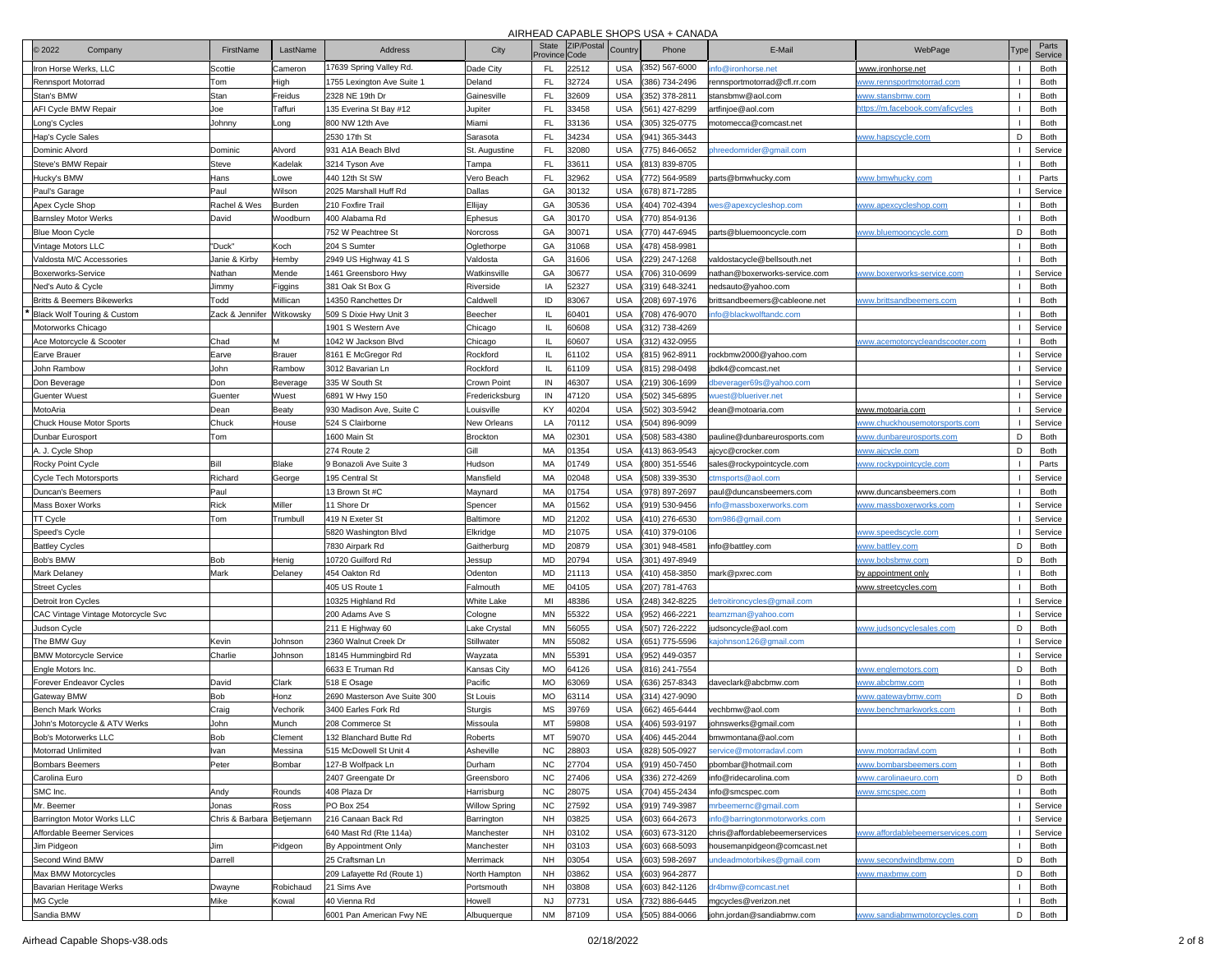| 2022<br>Company                    | FirstName                 | LastName      | <b>Address</b>                         | City            | <b>State</b><br>Province Code | ZIP/Postal | Country    | Phone          | E-Mail                                                    | WebPage                                | Type           | Parts<br>Service |
|------------------------------------|---------------------------|---------------|----------------------------------------|-----------------|-------------------------------|------------|------------|----------------|-----------------------------------------------------------|----------------------------------------|----------------|------------------|
| ron Horse Werks, LLC               | Scottie                   | Cameron       | 17639 Spring Valley Rd.                | Dade City       | <b>FL</b>                     | 22512      | <b>USA</b> | 352) 567-6000  | nfo@ironhorse.net                                         | www.ironhorse.net                      | $\blacksquare$ | Both             |
| Rennsport Motorrad                 | Tom                       | High          | 1755 Lexington Ave Suite 1             | Deland          | FL                            | 32724      | <b>USA</b> | (386) 734-2496 | rennsportmotorrad@cfl.rr.com                              | www.rennsportmotorrad.com              |                | Both             |
| Stan's BMW                         | Stan                      | Freidus       | 2328 NE 19th Dr                        | Gainesville     | FL                            | 32609      | <b>USA</b> | 352) 378-2811  | stansbmw@aol.com                                          | www.stansbmw.com                       | $\mathbf{I}$   | Both             |
| AFI Cycle BMW Repair               | Joe                       | Taffuri       | 135 Everina St Bay #12                 | Jupiter         | FL                            | 33458      | <b>USA</b> | (561) 427-8299 | artfinjoe@aol.com                                         | https://m.facebook.com/aficycles       |                | Both             |
| ong's Cycles                       | Johnny                    | Long          | 800 NW 12th Ave                        | Miami           | FL                            | 33136      | USA        | 305) 325-0775  | notomecca@comcast.net                                     |                                        | $\blacksquare$ | Both             |
| Hap's Cycle Sales                  |                           |               | 2530 17th St                           | Sarasota        | FL                            | 34234      | <b>USA</b> | 941) 365-3443  |                                                           | www.hapscycle.com                      | D              | Both             |
| Dominic Alvord                     | Dominic                   | Alvord        | 931 A1A Beach Blvd                     | St. Augustine   | FL                            | 32080      | USA        | 775) 846-0652  | hreedomrider@gmail.com                                    |                                        |                | Service          |
| Steve's BMW Repair                 | Steve                     | Kadelak       | 3214 Tyson Ave                         | Tampa           | <b>FL</b>                     | 33611      | <b>USA</b> | (813) 839-8705 |                                                           |                                        |                | Both             |
| Hucky's BMW                        | Hans                      | Lowe          | 440 12th St SW                         | Vero Beach      | FL                            | 32962      | USA        | 772) 564-9589  | arts@bmwhucky.com                                         | www.bmwhucky.com                       |                | Parts            |
| Paul's Garage                      | Paul                      | Wilson        | 2025 Marshall Huff Rd                  | Dallas          | GA                            | 30132      | <b>USA</b> | 678) 871-7285  |                                                           |                                        |                | Service          |
| Apex Cycle Shop                    | Rachel & Wes              | Burden        | 210 Foxfire Trail                      | Ellijay         | GA                            | 30536      | <b>USA</b> | 404) 702-4394  | es@apexcycleshop.com                                      | ww.apexcycleshop.com                   |                | Both             |
| <b>Barnsley Motor Werks</b>        | David                     | Woodburn      | 400 Alabama Rd                         | Ephesus         | GA                            | 30170      | <b>USA</b> | 770) 854-9136  |                                                           |                                        |                | Both             |
| <b>Blue Moon Cycle</b>             |                           |               | 752 W Peachtree St                     | Norcross        | GA                            | 30071      | <b>USA</b> | 770) 447-6945  | parts@bluemooncycle.com                                   | www.bluemooncycle.com                  | D              | Both             |
| Vintage Motors LLC                 | "Duck"                    | Koch          | 204 S Sumter                           | Oglethorpe      | GA                            | 31068      | <b>USA</b> | 478) 458-9981  |                                                           |                                        |                | Both             |
| <b>Valdosta M/C Accessories</b>    |                           | Hemby         | 2949 US Highway 41 S                   | Valdosta        | GA                            | 31606      | <b>USA</b> | 229) 247-1268  | valdostacycle@bellsouth.net                               |                                        |                | Both             |
|                                    | Janie & Kirby             |               |                                        |                 | GA                            |            |            |                |                                                           |                                        |                |                  |
| Boxerworks-Service                 | Nathan                    | Mende         | 1461 Greensboro Hwy                    | Watkinsville    |                               | 30677      | <b>USA</b> | 706) 310-0699  | nathan@boxerworks-service.com                             | www.boxerworks-service.com             |                | Service          |
| Ned's Auto & Cycle                 | Jimmy                     | Figgins       | 381 Oak St Box G                       | Riverside       | IA                            | 52327      | <b>USA</b> | 319) 648-3241  | nedsauto@yahoo.com                                        |                                        | $\mathbf{I}$   | Both             |
| Britts & Beemers Bikewerks         | Todd                      | Millican      | 14350 Ranchettes Dr                    | Caldwell        | ID                            | 33067      | USA        | 208) 697-1976  | vrittsandbeemers@cableone.net                             | www.brittsandbeemers.com               |                | Both             |
| Black Wolf Touring & Custom        | Zack & Jennifer           | Witkowsky     | 509 S Dixie Hwy Unit 3                 | Beecher         | Ш                             | 60401      | <b>USA</b> | 708) 476-9070  | nfo@blackwolftandc.com                                    |                                        |                | Both             |
| Motorworks Chicago                 |                           |               | 1901 S Western Ave                     | Chicago         | ш                             | 60608      | <b>USA</b> | 312) 738-4269  |                                                           |                                        |                | Service          |
| Ace Motorcycle & Scooter           | Chad                      | М             | 1042 W Jackson Blvd                    | Chicago         | $\mathbf{I}$                  | 60607      | USA        | (312) 432-0955 |                                                           | <u>www.acemotorcycleandscooter.com</u> |                | Both             |
| Earve Brauer                       | Earve                     | <b>Brauer</b> | 8161 E McGregor Rd                     | Rockford        | $\mathbf{u}$                  | 61102      | USA        | 815) 962-8911  | ockbmw2000@yahoo.com                                      |                                        |                | Service          |
| John Rambow                        | John                      | Rambow        | 3012 Bavarian Ln                       | Rockford        | $\mathbf{u}$                  | 61109      | <b>USA</b> | 815) 298-0498  | bdk4@comcast.net                                          |                                        |                | Service          |
| Don Beverage                       | Don                       | Beverage      | 335 W South St                         | Crown Point     | IN                            | 16307      | <b>USA</b> | 219) 306-1699  | beverager69s@yahoo.com                                    |                                        |                | Service          |
| Guenter Wuest                      | Guenter                   | Wuest         | 6891 W Hwy 150                         | Fredericksburg  | IN                            | 47120      | <b>USA</b> | 502) 345-6895  | ruest@blueriver.net                                       |                                        |                | Service          |
| MotoAria                           | Dean                      | Beaty         | 930 Madison Ave, Suite C               | Louisville      | KY                            | 40204      | <b>USA</b> | 502) 303-5942  | dean@motoaria.com                                         | <u>www.motoaria.com</u>                |                | Service          |
| Chuck House Motor Sports           | Chuck                     | House         | 524 S Clairborne                       | New Orleans     | LA                            | 70112      | <b>USA</b> | 504) 896-9099  |                                                           | www.chuckhousemotorsports.com          |                | Service          |
| Dunbar Eurosport                   | Tom                       |               | 1600 Main St                           | Brockton        | MA                            | 02301      | <b>USA</b> | 508) 583-4380  | pauline@dunbareurosports.com                              | www.dunbareurosports.com               | D              | Both             |
| A. J. Cycle Shop                   |                           |               | 274 Route 2                            | Gill            | MA                            | 01354      | <b>USA</b> | 413) 863-9543  | jcyc@crocker.com                                          | www.ajcycle.com                        | D              | Both             |
| Rocky Point Cycle                  | Bill                      | Blake         | 9 Bonazoli Ave Suite 3                 | Hudson          | MA                            | 01749      | <b>USA</b> | 800) 351-5546  | sales@rockypointcycle.com                                 | www.rockypointcycle.com                |                | Parts            |
| <b>Cycle Tech Motorsports</b>      | Richard                   | George        | 195 Central St                         | Mansfield       | MA                            | 02048      | USA        | 508) 339-3530  | tmsports@aol.com                                          |                                        |                | Service          |
| Duncan's Beemers                   | Paul                      |               | 13 Brown St #C                         | Maynard         | MA                            | 01754      | <b>USA</b> | 978) 897-2697  | baul@duncansbeemers.com                                   | www.duncansbeemers.com                 |                | Both             |
| Mass Boxer Works                   | Rick                      | Miller        | 11 Shore Dr                            | Spencer         | MA                            | 01562      | <b>USA</b> | 919) 530-9456  | nfo@massboxerworks.com                                    | www.massboxerworks.com                 |                | Service          |
| TT Cycle                           | Tom                       | Trumbull      | 419 N Exeter St                        | Baltimore       | <b>MD</b>                     | 21202      | <b>USA</b> | 410) 276-6530  | m986@gmail.com                                            |                                        |                | Service          |
| Speed's Cycle                      |                           |               | 5820 Washington Blvd                   | Elkridge        | <b>MD</b>                     | 21075      | USA        | 410) 379-0106  |                                                           | www.speedscycle.com                    |                | Service          |
| <b>Battley Cycles</b>              |                           |               | 7830 Airpark Rd                        | Gaitherburg     | <b>MD</b>                     | 20879      | <b>USA</b> | 301) 948-4581  | nfo@battley.com                                           | www.battley.com                        | D              | Both             |
| Bob's BMW                          | Bob                       | Henig         | 10720 Guilford Rd                      | Jessup          | <b>MD</b>                     | 20794      | <b>USA</b> | 301) 497-8949  |                                                           | ww.bobsbmw.com                         | D              | Both             |
| Mark Delaney                       | Mark                      | Delaney       | 454 Oakton Rd                          | Odenton         | <b>MD</b>                     | 21113      | <b>USA</b> | 410) 458-3850  | mark@pxrec.com                                            | <u>by appointment only</u>             |                | Both             |
| <b>Street Cycles</b>               |                           |               | 405 US Route 1                         | Falmouth        | ME                            | 04105      | <b>USA</b> | 207) 781-4763  |                                                           | <u>www.streetcycles.com</u>            |                | Both             |
| Detroit Iron Cycles                |                           |               | 10325 Highland Rd                      | White Lake      | MI                            | 18386      | <b>USA</b> | 248) 342-8225  | letroitironcycles@gmail.com                               |                                        |                | Service          |
| CAC Vintage Vintage Motorcycle Svc |                           |               | 200 Adams Ave S                        | Cologne         | MN                            | 55322      | <b>USA</b> | 952) 466-2221  | eamzman@yahoo.com                                         |                                        |                | Service          |
| Judson Cycle                       |                           |               | 211 E Highway 60                       | Lake Crystal    | MN                            | 56055      | <b>USA</b> | 507) 726-2222  | udsoncycle@aol.com                                        | www.judsoncyclesales.com               | D              | Both             |
| The BMW Guy                        | Kevin                     | Johnson       | 2360 Walnut Creek Dr                   | Stillwater      | MN                            | 55082      | <b>USA</b> | 651) 775-5596  | ajohnson126@gmail.com                                     |                                        |                | Service          |
| <b>BMW Motorcycle Service</b>      | Charlie                   | Johnson       | 18145 Hummingbird Rd                   | Wayzata         | MN                            | 55391      | USA        | 952) 449-0357  |                                                           |                                        |                | Service          |
| Engle Motors Inc.                  |                           |               | 6633 E Truman Rd                       | Kansas City     | MO                            | 64126      | <b>USA</b> | 816) 241-7554  |                                                           | www.englemotors.com                    | D              | Both             |
| Forever Endeavor Cycles            | David                     | Clark         | 518 E Osage                            | Pacific         | MO                            | 33069      | USA        | 636) 257-8343  | daveclark@abcbmw.com                                      | www.abcbmw.com                         |                | Both             |
| Gateway BMW                        | Bob                       | Honz          | 2690 Masterson Ave Suite 300           | <b>St Louis</b> | <b>MO</b>                     | 33114      | <b>USA</b> | (314) 427-9090 |                                                           | <u>www.gatewaybmw.com</u>              | D              | Both             |
| Bench Mark Works                   | Craig                     | Vechorik      | 3400 Earles Fork Rd                    | Sturgis         | <b>MS</b>                     | 39769      | <b>USA</b> | 662) 465-6444  | /echbmw@aol.com                                           | www.benchmarkworks.com                 |                | Both             |
| John's Motorcycle & ATV Werks      | John                      | Munch         | 208 Commerce St                        | Missoula        | MT                            | 59808      | <b>USA</b> | 406) 593-9197  | johnswerks@gmail.com                                      |                                        |                | Both             |
| Bob's Motorwerks LLC               | Bob                       | Clement       | 132 Blanchard Butte Rd                 | Roberts         | MT                            | 59070      | USA        | 406) 445-2044  | bmwmontana@aol.com                                        |                                        |                | Both             |
| Motorrad Unlimited                 | Ivan                      | Messina       | 515 McDowell St Unit 4                 | Asheville       | <b>NC</b>                     | 28803      | <b>USA</b> | (828) 505-0927 | service@motorradavl.com                                   | www.motorradavl.com                    | $\mathbf{I}$   | Both             |
| <b>Bombars Beemers</b>             | Peter                     | Bombar        | 127-B Wolfpack Ln                      | Durham          | NC                            | 27704      | <b>USA</b> | (919) 450-7450 | pbombar@hotmail.com                                       | www.bombarsbeemers.com                 | $\mathbf{I}$   | Both             |
| Carolina Euro                      |                           |               | 2407 Greengate Dr                      | Greensboro      | <b>NC</b>                     | 27406      | <b>USA</b> | (336) 272-4269 | info@ridecarolina.com                                     | www.carolinaeuro.com                   | D              | Both             |
| SMC Inc.                           | Andy                      | Rounds        | 408 Plaza Dr                           | Harrisburg      | NC                            | 28075      | <b>USA</b> | (704) 455-2434 | info@smcspec.com                                          | www.smcspec.com                        |                | Both             |
| Mr. Beemer                         | Jonas                     | Ross          | PO Box 254                             | Willow Spring   | <b>NC</b>                     | 27592      | USA        | (919) 749-3987 | nrbeemernc@gmail.com                                      |                                        |                | Service          |
| Barrington Motor Works LLC         | Chris & Barbara Betjemann |               | 216 Canaan Back Rd                     | Barrington      | <b>NH</b>                     | 03825      | USA        | (603) 664-2673 | nfo@barringtonmotorworks.com                              |                                        |                | Service          |
| Affordable Beemer Services         |                           |               | 640 Mast Rd (Rte 114a)                 | Manchester      | <b>NH</b>                     | 03102      | USA        | 603) 673-3120  | chris@affordablebeemerservices                            | www.affordablebeemerservices.com       |                | Service          |
|                                    | Jim                       | Pidgeon       |                                        | Manchester      | <b>NH</b>                     | 03103      | USA        | (603) 668-5093 |                                                           |                                        |                | Both             |
| Jim Pidgeon<br>Second Wind BMW     | Darrell                   |               | By Appointment Only<br>25 Craftsman Ln |                 | <b>NH</b>                     | 03054      | USA        | (603) 598-2697 | nousemanpidgeon@comcast.net<br>indeadmotorbikes@gmail.com |                                        | D              | Both             |
|                                    |                           |               |                                        | Merrimack       |                               |            |            |                |                                                           | <u>www.secondwindbmw.com</u>           | D              |                  |
| Max BMW Motorcycles                |                           |               | 209 Lafayette Rd (Route 1)             | North Hampton   | <b>NH</b>                     | 03862      | USA        | (603) 964-2877 |                                                           | www.maxbmw.com                         |                | Both             |
| Bavarian Heritage Werks            | Dwayne                    | Robichaud     | 21 Sims Ave                            | Portsmouth      | <b>NH</b>                     | 03808      | USA        | (603) 842-1126 | r4bmw@comcast.net                                         |                                        |                | Both             |
| MG Cycle                           | Mike                      | Kowal         | 40 Vienna Rd                           | Howell          | NJ                            | 07731      | <b>USA</b> | (732) 886-6445 | mgcycles@verizon.net                                      |                                        | D              | Both             |
| Sandia BMW                         |                           |               | 6001 Pan American Fwy NE               | Albuquerque     | <b>NM</b>                     | 87109      | USA        | (505) 884-0066 | iohn.iordan@sandiabmw.com                                 | www.sandiabmwmotorcycles.com           |                | Both             |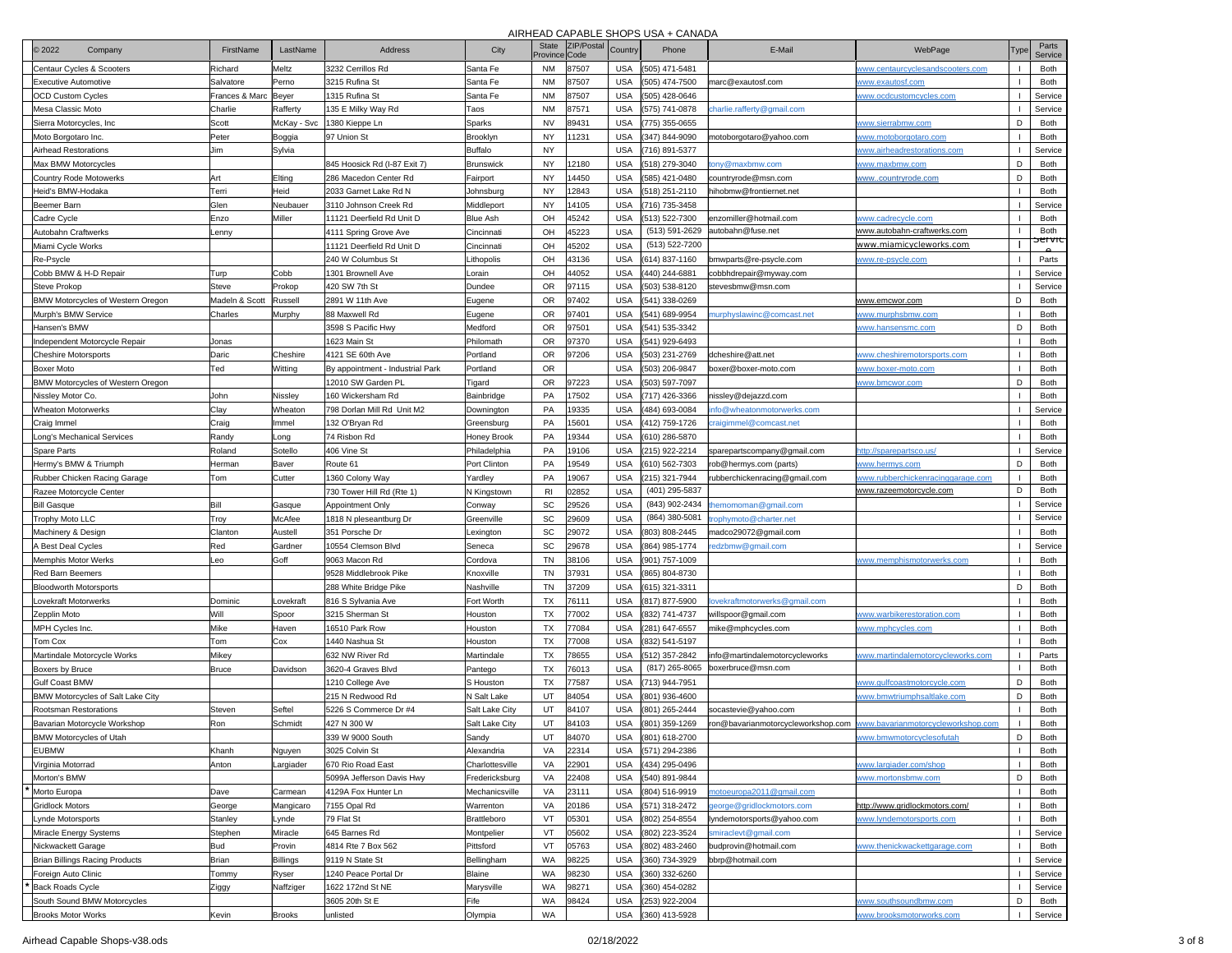| 2022<br>Company                                | FirstName              | LastName         | <b>Address</b>                               | City                             | <b>State</b><br>Province | ZIP/Posta<br>Code | Country                  | Phone                            | E-Mail                                                 | WebPage                                                   | Туре         | Parts<br>Service |
|------------------------------------------------|------------------------|------------------|----------------------------------------------|----------------------------------|--------------------------|-------------------|--------------------------|----------------------------------|--------------------------------------------------------|-----------------------------------------------------------|--------------|------------------|
| Centaur Cycles & Scooters                      | Richard                | Meltz            | 3232 Cerrillos Rd                            | Santa Fe                         | <b>NM</b>                | 37507             | <b>USA</b>               | (505) 471-5481                   |                                                        | www.centaurcyclesandscooters.com                          |              | Both             |
| Executive Automotive                           | Salvatore              | Perno            | 3215 Rufina St                               | Santa Fe                         | <b>NM</b>                | 87507             | <b>USA</b>               | (505) 474-7500                   | marc@exautosf.com                                      | www.exautosf.com                                          |              | Both             |
| <b>OCD Custom Cycles</b>                       | Frances & Marc   Beyer |                  | 1315 Rufina St                               | Santa Fe                         | <b>NM</b>                | 87507             | <b>USA</b>               | (505) 428-0646                   |                                                        | www.ocdcustomcycles.com                                   |              | Service          |
| Mesa Classic Moto                              | Charlie                | Rafferty         | 135 E Milky Way Rd                           | Taos                             | <b>NM</b>                | 37571             | <b>USA</b>               | (575) 741-0878                   | harlie.rafferty@gmail.com                              |                                                           |              | Service          |
| Sierra Motorcycles, Inc.                       | Scott                  | McKay - Svc      | 1380 Kieppe Ln                               | Sparks                           | <b>NV</b>                | 89431             | <b>USA</b>               | (775) 355-0655                   |                                                        | <u>www.sierrabmw.com</u>                                  | D            | Both             |
| Moto Borgotaro Inc.                            | Peter                  | Boggia           | 97 Union St                                  | Brooklyn                         | <b>NY</b>                | 11231             | <b>USA</b>               | (347) 844-9090                   | notoborgotaro@yahoo.com                                | www.motoborgotaro.com                                     |              | Both             |
| Airhead Restorations                           | Jim                    | Sylvia           |                                              | Buffalo                          | <b>NY</b>                |                   | <b>USA</b>               | (716) 891-5377                   |                                                        | www.airheadrestorations.com                               |              | Service          |
| Max BMW Motorcycles                            |                        |                  | 845 Hoosick Rd (I-87 Exit 7)                 | <b>Brunswick</b>                 | <b>NY</b>                | 12180             | <b>USA</b>               | (518) 279-3040                   | ony@maxbmw.com                                         | <u>www.maxbmw.com</u>                                     | D            | Both             |
| <b>Country Rode Motowerks</b>                  | Art                    | Elting           | 286 Macedon Center Rd                        | Fairport                         | <b>NY</b>                | 14450             | <b>USA</b>               | (585) 421-0480                   | :ountryrode@msn.com                                    | <u>wwwcountryrode.com</u>                                 | D            | Both             |
| Heid's BMW-Hodaka                              | Terri                  | Heid             | 2033 Garnet Lake Rd N                        | Johnsburg                        | <b>NY</b>                | 12843             | <b>USA</b>               | (518) 251-2110                   | hihobmw@frontiernet.net                                |                                                           |              | Both             |
| Beemer Barn                                    | Glen                   | Neubauer         | 3110 Johnson Creek Rd                        | Middleport                       | <b>NY</b>                | 14105             | <b>USA</b>               | (716) 735-3458                   |                                                        |                                                           |              | Service          |
| Cadre Cycle                                    | Enzo                   | Miller           | 11121 Deerfield Rd Unit D                    | <b>Blue Ash</b>                  | OH                       | 45242             | <b>USA</b>               | (513) 522-7300                   | enzomiller@hotmail.com                                 | www.cadrecycle.com                                        | $\mathbf{I}$ | Both             |
| Autobahn Craftwerks                            | enny                   |                  | 4111 Spring Grove Ave                        | Cincinnati                       | OH                       | 45223             | <b>USA</b>               | (513) 591-2629                   | autobahn@fuse.net                                      | <u>www.autobahn-craftwerks.com</u>                        | -1           | Both<br>ਾਦਾ vਾਹ  |
| Miami Cycle Works                              |                        |                  | 11121 Deerfield Rd Unit D                    | Cincinnati                       | OH                       | 15202             | <b>USA</b>               | (513) 522-7200                   |                                                        | <u>www.miamicycleworks.com</u>                            |              |                  |
| Re-Psycle                                      |                        |                  | 240 W Columbus St                            | Lithopolis                       | OH                       | 43136             | <b>USA</b>               | (614) 837-1160                   | bmwparts@re-psycle.com                                 | www.re-psycle.com                                         |              | Parts            |
| Cobb BMW & H-D Repair                          | Turp                   | Cobb             | 1301 Brownell Ave                            | Lorain                           | OH                       | 44052             | <b>USA</b>               | (440) 244-6881                   | cobbhdrepair@myway.com                                 |                                                           |              | Service          |
| Steve Prokop                                   | Steve                  | Prokop           | 420 SW 7th St                                | Dundee                           | OR                       | 97115             | <b>USA</b>               | (503) 538-8120                   | stevesbmw@msn.com                                      |                                                           |              | Service          |
| <b>BMW Motorcycles of Western Oregon</b>       | Madeln & Scott         | Russell          | 2891 W 11th Ave                              | Eugene                           | <b>OR</b>                | 97402             | <b>USA</b>               | (541) 338-0269                   |                                                        | www.emcwor.com                                            | D            | Both             |
| Murph's BMW Service                            | Charles                | Murphy           | 88 Maxwell Rd                                | Eugene                           | <b>OR</b>                | 97401             | <b>USA</b>               | (541) 689-9954                   | nurphyslawinc@comcast.net                              | ww.murphsbmw.com                                          |              | Both             |
| Hansen's BMW                                   |                        |                  | 3598 S Pacific Hwy                           | Medford                          | OR                       | 97501             | <b>USA</b>               | (541) 535-3342                   |                                                        | ww.hansensmc.com                                          | D            | Both             |
| Independent Motorcycle Repair                  | Jonas                  |                  | 1623 Main St                                 | Philomath                        | OR                       | 97370             | <b>USA</b>               | (541) 929-6493                   |                                                        |                                                           |              | Both             |
| <b>Cheshire Motorsports</b>                    | Daric                  | Cheshire         | 4121 SE 60th Ave                             | Portland                         | <b>OR</b>                | 97206             | <b>USA</b>               | (503) 231-2769                   | dcheshire@att.net                                      | <u>www.cheshiremotorsports.com</u>                        |              | Both             |
| Boxer Moto                                     | Ted                    | Witting          | By appointment - Industrial Park             | Portland                         | <b>OR</b>                |                   | <b>USA</b>               | (503) 206-9847                   | boxer@boxer-moto.com                                   | <u>www.boxer-moto.com</u>                                 |              | Both             |
| BMW Motorcycles of Western Oregon              |                        |                  | 12010 SW Garden PL<br>160 Wickersham Rd      | Tigard                           | OR                       | 97223             | <b>USA</b>               | (503) 597-7097                   |                                                        | <u>ww.bmcwor.com</u>                                      | D            | Both             |
| Nissley Motor Co.<br><b>Wheaton Motorwerks</b> | John                   | Nissley          |                                              | Bainbridge                       | PA                       | 17502             | <b>USA</b>               | (717) 426-3366                   | iissley@dejazzd.com                                    |                                                           |              | Both             |
|                                                | Clay                   | Wheaton          | 798 Dorlan Mill Rd Unit M2                   | Downington                       | PA<br>PA                 | 19335             | <b>USA</b>               | (484) 693-0084                   | fo@wheatonmotorwerks.com                               |                                                           |              | Service          |
| Craig Immel                                    | Craig                  | Immel            | 132 O'Bryan Rd                               | Greensburg<br><b>Honey Brook</b> | PA                       | 15601<br>19344    | <b>USA</b><br><b>USA</b> | (412) 759-1726                   | raigimmel@comcast.net                                  |                                                           |              | Both             |
| Long's Mechanical Services                     | Randy                  | Long             | 74 Risbon Rd                                 |                                  | PA                       | 19106             | <b>USA</b>               | (610) 286-5870                   |                                                        |                                                           |              | Both             |
| Spare Parts<br>Hermy's BMW & Triumph           | Roland<br>Herman       | Sotello<br>Baver | 406 Vine St<br>Route 61                      | Philadelphia<br>Port Clinton     | PA                       | 19549             | <b>USA</b>               | (215) 922-2214                   | sparepartscompany@gmail.com                            | ttp://sparepartsco.us/                                    | D            | Service<br>Both  |
| Rubber Chicken Racing Garage                   | Tom                    | Cutter           |                                              | Yardley                          | PA                       | 19067             | <b>USA</b>               | (610) 562-7303<br>(215) 321-7944 | rob@hermys.com (parts)<br>ubberchickenracing@gmail.com | <u>ww.hermys.com</u><br>www.rubberchickenracinggarage.com |              | Both             |
| Razee Motorcycle Center                        |                        |                  | 1360 Colony Way<br>730 Tower Hill Rd (Rte 1) | N Kingstown                      | R <sub>1</sub>           | )2852             | <b>USA</b>               | (401) 295-5837                   |                                                        | www.razeemotorcycle.com                                   | D            | Both             |
| <b>Bill Gasque</b>                             | Bill                   | Gasque           | Appointment Only                             | Conway                           | SC                       | 29526             | <b>USA</b>               | (843) 902-2434                   | emomoman@gmail.com                                     |                                                           | $\mathbf{I}$ | Service          |
| Trophy Moto LLC                                |                        | McAfee           | 1818 N pleseantburg Dr                       | Greenville                       | SC                       | 29609             | <b>USA</b>               | (864) 380-5081                   | ophymoto@charter.net                                   |                                                           |              | Service          |
| Machinery & Design                             | Troy<br>Clanton        | Austell          | 351 Porsche Dr                               | Lexington                        | SC                       | 29072             | <b>USA</b>               | (803) 808-2445                   | nadco29072@gmail.com                                   |                                                           |              | Both             |
| A Best Deal Cycles                             | Red                    | Gardner          | 10554 Clemson Blvd                           | Seneca                           | SC                       | 29678             | USA                      | (864) 985-1774                   | edzbmw@gmail.com                                       |                                                           |              | Service          |
| Memphis Motor Werks                            | .eo                    | Goff             | 9063 Macon Rd                                | Cordova                          | <b>TN</b>                | 38106             | USA                      | (901) 757-1009                   |                                                        | www.memphismotorwerks.com                                 |              | Both             |
| <b>Red Barn Beemers</b>                        |                        |                  | 9528 Middlebrook Pike                        | Knoxville                        | <b>TN</b>                | 37931             | <b>USA</b>               | (865) 804-8730                   |                                                        |                                                           |              | Both             |
| <b>Bloodworth Motorsports</b>                  |                        |                  | 288 White Bridge Pike                        | Nashville                        | <b>TN</b>                | 37209             | <b>USA</b>               | (615) 321-3311                   |                                                        |                                                           | D            | Both             |
| Lovekraft Motorwerks                           | Dominic                | ovekraft         | 816 S Sylvania Ave                           | Fort Worth                       | <b>TX</b>                | 76111             | <b>USA</b>               | (817) 877-5900                   | vekraftmotorwerks@gmail.com                            |                                                           |              | Both             |
| Zepplin Moto                                   | Will                   | Spoor            | 3215 Sherman St                              | Houston                          | <b>TX</b>                | 77002             | <b>USA</b>               | (832) 741-4737                   | willspoor@gmail.com                                    | <u>www.warbikerestoration.com</u>                         | $\mathbf{I}$ | Both             |
| MPH Cycles Inc.                                | Mike                   | Haven            | 16510 Park Row                               | Houston                          | <b>TX</b>                | 77084             | <b>USA</b>               | (281) 647-6557                   | mike@mphcycles.com                                     | ww.mphcycles.com                                          |              | Both             |
| Tom Cox                                        | Tom                    | Cox              | 1440 Nashua St                               | Houston                          | <b>TX</b>                | 77008             | <b>USA</b>               | (832) 541-5197                   |                                                        |                                                           |              | Both             |
| Martindale Motorcycle Works                    | Mikey                  |                  | 632 NW River Rd                              | Martindale                       | <b>TX</b>                | 78655             | <b>USA</b>               | (512) 357-2842                   | info@martindalemotorcycleworks                         | www.martindalemotorcycleworks.com                         | $\mathbf{I}$ | Parts            |
| Boxers by Bruce                                | <b>Bruce</b>           | Davidson         | 3620-4 Graves Blvd                           | Pantego                          | <b>TX</b>                | 76013             | <b>USA</b>               | (817) 265-8065                   | boxerbruce@msn.com                                     |                                                           | $\mathbf{I}$ | Both             |
| <b>Gulf Coast BMW</b>                          |                        |                  | 1210 College Ave                             | S Houston                        | <b>TX</b>                | 77587             | <b>USA</b>               | (713) 944-7951                   |                                                        | www.qulfcoastmotorcycle.com                               | D            | Both             |
| BMW Motorcycles of Salt Lake City              |                        |                  | 215 N Redwood Rd                             | N Salt Lake                      | UT                       | 84054             | <b>USA</b>               | (801) 936-4600                   |                                                        | www.bmwtriumphsaltlake.com                                | D            | Both             |
| Rootsman Restorations                          | Steven                 | Seftel           | 5226 S Commerce Dr #4                        | Salt Lake City                   | UT                       | 84107             | <b>USA</b>               | 801) 265-2444                    | socastevie@yahoo.com                                   |                                                           |              | Both             |
| Bavarian Motorcycle Workshop                   | Ron                    | Schmidt          | 427 N 300 W                                  | Salt Lake City                   | UT                       | 84103             | USA                      | (801) 359-1269                   | ron@bavarianmotorcycleworkshop.com                     | www.bavarianmotorcycleworkshop.com                        |              | Both             |
| <b>BMW Motorcycles of Utah</b>                 |                        |                  | 339 W 9000 South                             | Sandy                            | UT                       | 84070             |                          | USA (801) 618-2700               |                                                        | <u>www.bmwmotorcyclesofutal</u>                           | D.           | Both             |
| <b>EUBMW</b>                                   | Khanh                  | Nguyen           | 3025 Colvin St                               | Alexandria                       | VA                       | 22314             | USA                      | (571) 294-2386                   |                                                        |                                                           |              | Both             |
| Virginia Motorrad                              | Anton                  | argiader         | 670 Rio Road East                            | Charlottesville                  | VA                       | 22901             | <b>USA</b>               | (434) 295-0496                   |                                                        | www.largiader.com/shop                                    | $\mathbf{I}$ | Both             |
| Morton's BMW                                   |                        |                  | 5099A Jefferson Davis Hwy                    | Fredericksburg                   | VA                       | 22408             | <b>USA</b>               | (540) 891-9844                   |                                                        | ww.mortonsbmw.com                                         | D            | Both             |
| Morto Europa                                   | Dave                   | Carmean          | 4129A Fox Hunter Ln                          | Mechanicsville                   | VA                       | 23111             | <b>USA</b>               | (804) 516-9919                   | notoeuropa2011@gmail.com                               |                                                           |              | Both             |
| Gridlock Motors                                | George                 | Mangicaro        | 7155 Opal Rd                                 | Warrenton                        | VA                       | 20186             | <b>USA</b>               | (571) 318-2472                   | eorge@gridlockmotors.com                               | http://www.gridlockmotors.com/                            |              | Both             |
| Lynde Motorsports                              | Stanley                | Lynde            | 79 Flat St                                   | Brattleboro                      | VT                       | 05301             | USA                      | (802) 254-8554                   | lyndemotorsports@yahoo.com                             | www.lyndemotorsports.com                                  |              | Both             |
| Miracle Energy Systems                         | Stephen                | Miracle          | 645 Barnes Rd                                | Montpelier                       | VT                       | 05602             | <b>USA</b>               | (802) 223-3524                   | miraclevt@gmail.com                                    |                                                           |              | Service          |
| Nickwackett Garage                             | Bud                    | Provin           | 4814 Rte 7 Box 562                           | Pittsford                        | VT                       | 05763             | <b>USA</b>               | (802) 483-2460                   | budprovin@hotmail.com                                  | www.thenickwackettgarage.com                              |              | Both             |
| Brian Billings Racing Products                 | Brian                  | <b>Billings</b>  | 9119 N State St                              | Bellingham                       | <b>WA</b>                | 98225             | USA                      | (360) 734-3929                   | bbrp@hotmail.com                                       |                                                           |              | Service          |
| Foreign Auto Clinic                            | Tommy                  | Ryser            | 1240 Peace Portal Dr                         | Blaine                           | <b>WA</b>                | 98230             | USA                      | (360) 332-6260                   |                                                        |                                                           |              | Service          |
| Back Roads Cycle                               | Ziggy                  | Naffziger        | 1622 172nd St NE                             | Marysville                       | <b>WA</b>                | 98271             | USA                      | (360) 454-0282                   |                                                        |                                                           |              | Service          |
| South Sound BMW Motorcycles                    |                        |                  | 3605 20th St E                               | Fife                             | <b>WA</b>                | 98424             | USA                      | (253) 922-2004                   |                                                        | ww.southsoundbmw.com                                      | D            | Both             |
| <b>Brooks Motor Works</b>                      | Kevin                  | <b>Brooks</b>    | unlisted                                     | Olympia                          | <b>WA</b>                |                   |                          | USA (360) 413-5928               |                                                        | www.brooksmotorworks.com                                  |              | Service          |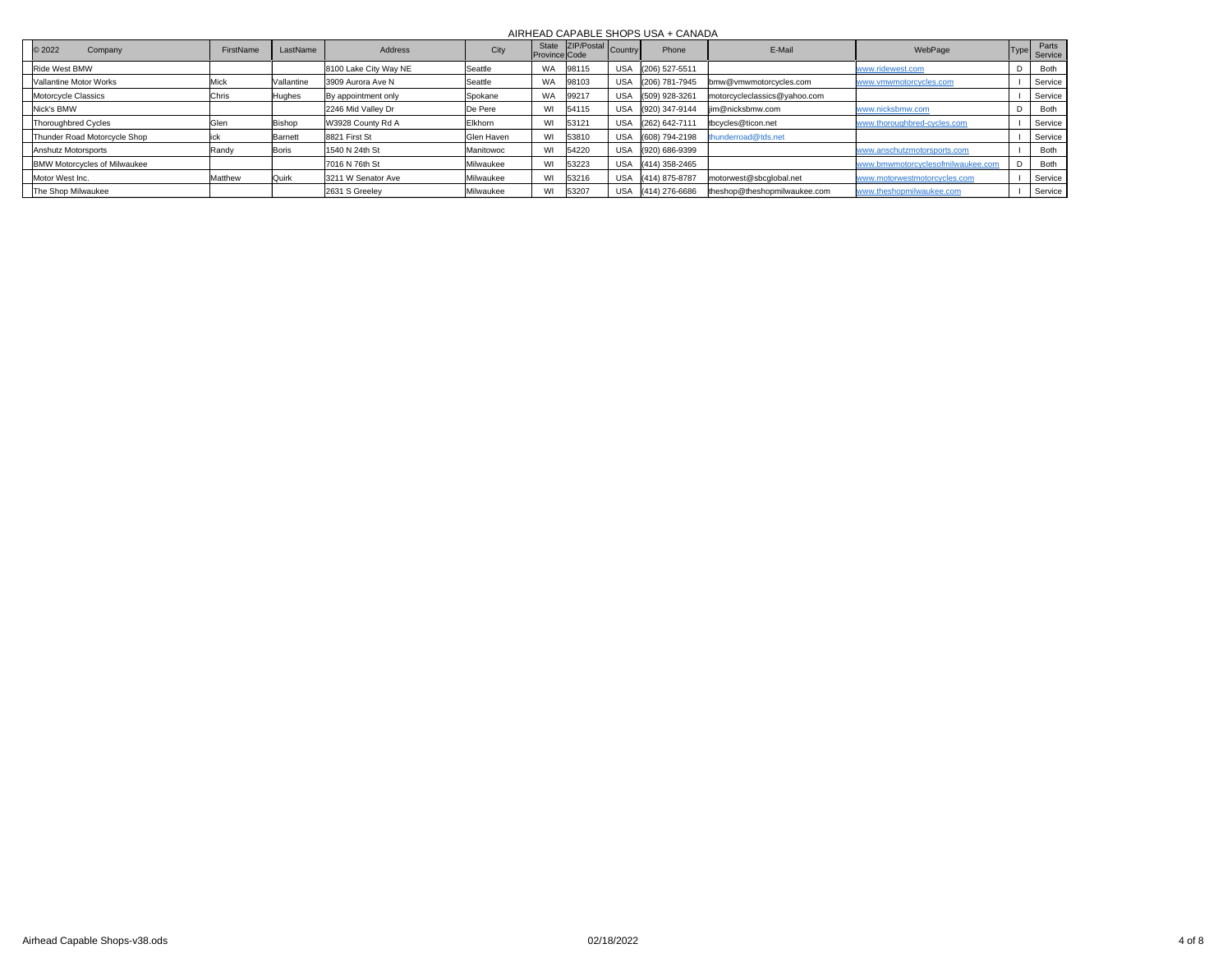| C 2022<br>Company                   | FirstName | LastName     | Address               | City              | State<br>Province Code | are ZIP/Postal Country | Phone              | E-Mail                       | WebPage                           | Type | Parts<br>Service |
|-------------------------------------|-----------|--------------|-----------------------|-------------------|------------------------|------------------------|--------------------|------------------------------|-----------------------------------|------|------------------|
| Ride West BMW                       |           |              | 8100 Lake City Way NE | Seattle           | <b>WA</b>              | 98115                  | USA (206) 527-5511 |                              | www.ridewest.com                  |      | Both             |
| Vallantine Motor Works              | Mick      | Vallantine   | 3909 Aurora Ave N     | Seattle           | <b>WA</b>              | 98103                  | USA (206) 781-7945 | bmw@vmwmotorcycles.com       | www.vmwmotorcycles.com            |      | Service          |
| Motorcycle Classics                 | Chris     | Hughes       | By appointment only   | Spokane           | <b>WA</b>              | 99217                  | USA (509) 928-3261 | motorcycleclassics@yahoo.com |                                   |      | Service          |
| Nick's BMW                          |           |              | 2246 Mid Valley Dr    | De Pere           | WI                     | 54115                  | USA (920) 347-9144 | lim@nicksbmw.com             | www.nicksbmw.com                  |      | Both             |
| Thoroughbred Cycles                 | Glen      | Bishop       | W3928 County Rd A     | Elkhorn           | WI                     | 53121                  | USA (262) 642-7111 | tbcycles@ticon.net           | www.thoroughbred-cycles.com       |      | Service          |
| Thunder Road Motorcycle Shop        |           | Barnett      | 8821 First St         | <b>Glen Haven</b> | WI                     | 53810                  | USA (608) 794-2198 | thunderroad@tds.net          |                                   |      | Service          |
| Anshutz Motorsports                 | Randy     | Boris        | 1540 N 24th St        | Manitowoc         | WI                     | 54220                  | USA (920) 686-9399 |                              | www.anschutzmotorsports.com       |      | Both             |
| <b>BMW Motorcycles of Milwaukee</b> |           |              | 7016 N 76th St        | Milwaukee         | WI                     | 53223                  | USA (414) 358-2465 |                              | www.bmwmotorcyclesofmilwaukee.com |      | Both             |
| Motor West Inc.                     | Matthew   | <b>Quirk</b> | 3211 W Senator Ave    | Milwaukee         | WI                     | 53216                  | USA (414) 875-8787 | motorwest@sbcqlobal.net      | www.motorwestmotorcycles.com      |      | Service          |
| The Shop Milwaukee                  |           |              | 2631 S Greeley        | Milwaukee         | WI                     | 53207                  | USA (414) 276-6686 | theshop@theshopmilwaukee.com | www.theshopmilwaukee.com          |      | Service          |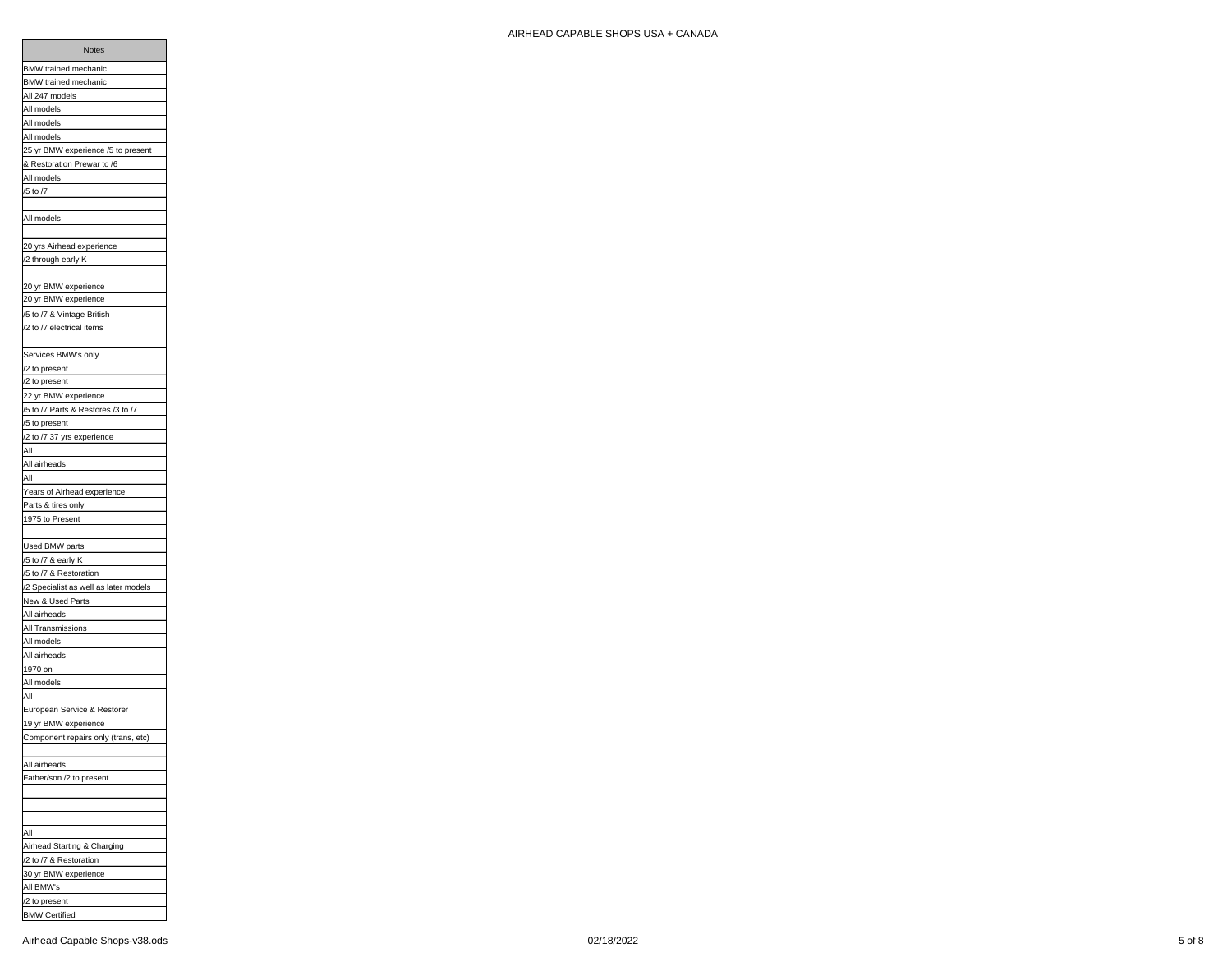| Notes                                             |
|---------------------------------------------------|
| BMW trained mechanic                              |
| BMW trained mechanic                              |
| All 247 models                                    |
| All models                                        |
| All models                                        |
| All models                                        |
| 25 yr BMW experience /5 to present                |
| & Restoration Prewar to /6                        |
| All models                                        |
| /5 to /7                                          |
|                                                   |
| All models                                        |
|                                                   |
| 20 yrs Airhead experience                         |
| /2 through early K                                |
|                                                   |
| 20 yr BMW experience                              |
| 20 yr BMW experience                              |
| /5 to /7 & Vintage British                        |
| /2 to /7 electrical items                         |
|                                                   |
| Services BMW's only                               |
| /2 to present                                     |
| /2 to present                                     |
| 22 yr BMW experience                              |
|                                                   |
| /5 to /7 Parts & Restores /3 to /7                |
| /5 to present<br>/2 to /7 37 yrs experience       |
| $\overline{Al}$                                   |
|                                                   |
| All airheads<br>All                               |
|                                                   |
| Years of Airhead experience<br>Parts & tires only |
| 1975 to Present                                   |
|                                                   |
| Used BMW parts                                    |
|                                                   |
| /5 to /7 & early K                                |
| /5 to /7 & Restoration                            |
| /2 Specialist as well as later models             |
| New & Used Parts                                  |
| All airheads                                      |
| All Transmissions                                 |
| All models                                        |
| All airheads                                      |
| 1970 on                                           |
| All models                                        |
| All                                               |
| European Service & Restorer                       |
| 19 yr BMW experience                              |
| Component repairs only (trans, etc)               |
|                                                   |
| All airheads                                      |
| Father/son /2 to present                          |
|                                                   |
|                                                   |
|                                                   |
| All                                               |
| Airhead Starting & Charging                       |
| /2 to /7 & Restoration                            |
| 30 yr BMW experience                              |
| All BMW's                                         |
| /2 to present                                     |

BMW Certified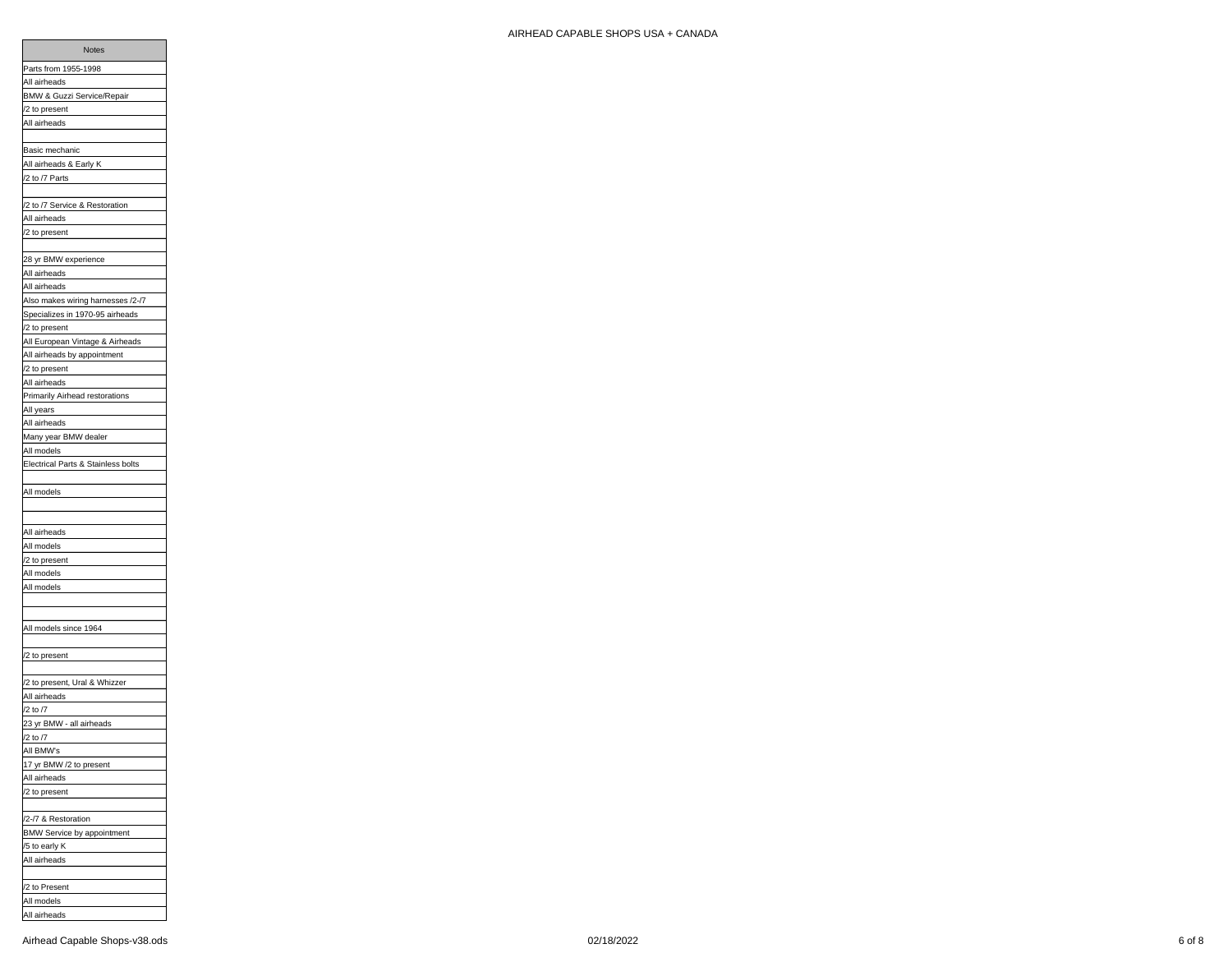| All airheads                       |
|------------------------------------|
| BMW & Guzzi Service/Repair         |
| /2 to present                      |
| All airheads                       |
|                                    |
| <b>Basic mechanic</b>              |
| All airheads & Early K             |
| /2 to /7 Parts                     |
|                                    |
| /2 to /7 Service & Restoration     |
| All airheads                       |
| /2 to present                      |
|                                    |
| 28 yr BMW experience               |
| All airheads                       |
| All airheads                       |
| Also makes wiring harnesses /2-/7  |
| Specializes in 1970-95 airheads    |
| /2 to present                      |
| All European Vintage & Airheads    |
| All airheads by appointment        |
| /2 to present                      |
| All airheads                       |
| Primarily Airhead restorations     |
| All years                          |
| All airheads                       |
| Many year BMW dealer               |
| All models                         |
| Electrical Parts & Stainless bolts |
| All models                         |
|                                    |
|                                    |
| All airheads                       |
| All models                         |
| /2 to present                      |
| All models                         |
| All models                         |
|                                    |
|                                    |
| All models since 1964              |
|                                    |
| /2 to present                      |
|                                    |
| /2 to present, Ural & Whizzer      |
| All airheads                       |
| /2 to /7                           |
| 23 yr BMW - all airheads           |
| /2 to /7                           |
| All BMW's                          |
| 17 yr BMW /2 to present            |
| All airheads                       |
| /2 to present                      |
|                                    |
| /2-/7 & Restoration                |
| BMW Service by appointment         |
| /5 to early K                      |
| All airheads                       |
|                                    |
| /2 to Present                      |
| All models<br>All airheads         |
|                                    |

Notes

Parts from 1955-1998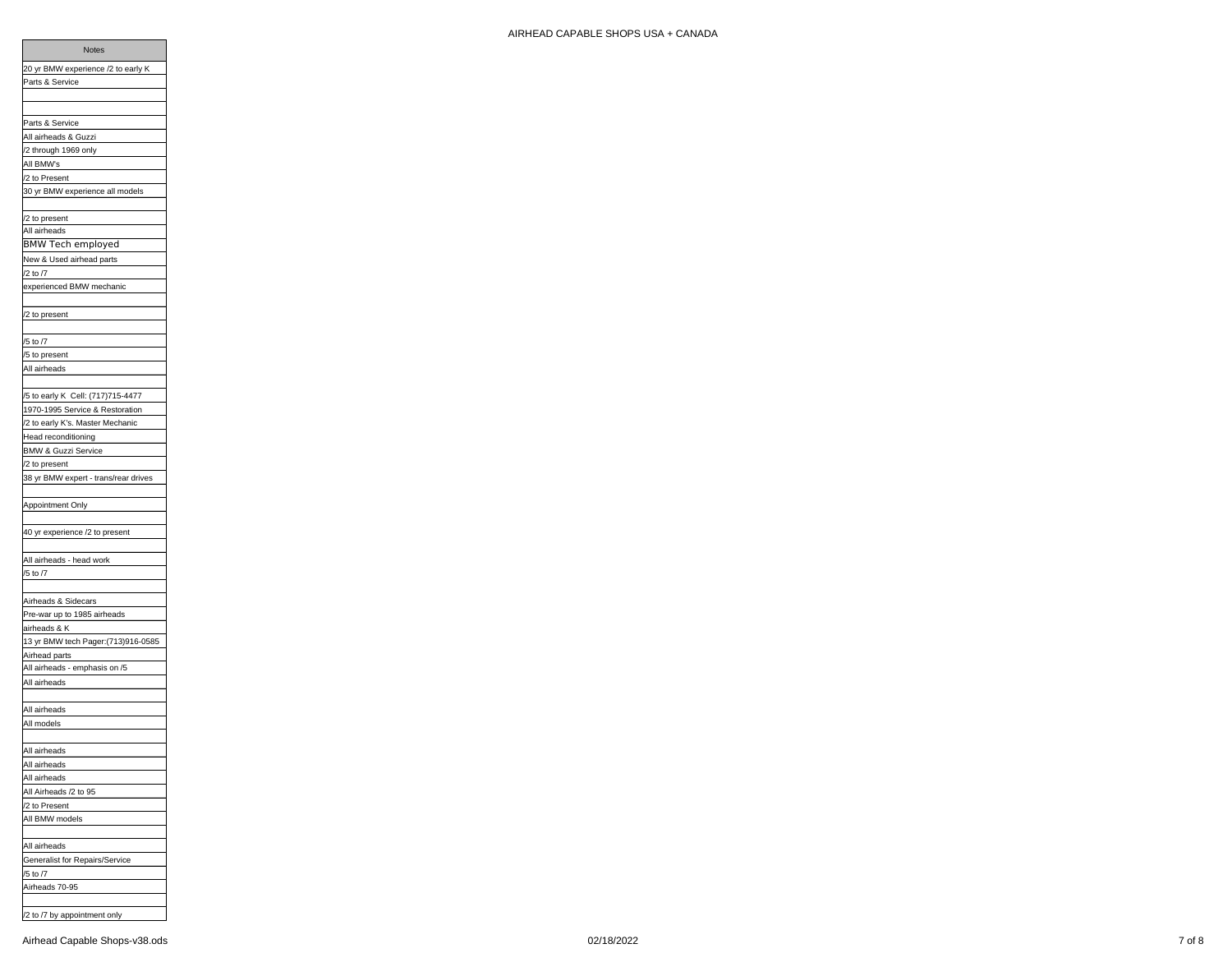| /2 to Present                        |
|--------------------------------------|
| 30 yr BMW experience all models      |
|                                      |
| /2 to present                        |
| All airheads                         |
| <b>BMW Tech employed</b>             |
|                                      |
| New & Used airhead parts             |
| /2 to /7                             |
| experienced BMW mechanic             |
|                                      |
| /2 to present                        |
|                                      |
| /5 to /7                             |
| /5 to present                        |
| All airheads                         |
|                                      |
| /5 to early K Cell: (717)715-4477    |
|                                      |
| 1970-1995 Service & Restoration      |
| /2 to early K's. Master Mechanic     |
| Head reconditioning                  |
| <b>BMW &amp; Guzzi Service</b>       |
| /2 to present                        |
| 38 yr BMW expert - trans/rear drives |
|                                      |
| Appointment Only                     |
|                                      |
|                                      |
| 40 yr experience /2 to present       |
|                                      |
| All airheads - head work             |
| /5 to /7                             |
|                                      |
| Airheads & Sidecars                  |
| Pre-war up to 1985 airheads          |
| airheads & K                         |
| 13 yr BMW tech Pager:(713)916-0585   |
| Airhead parts                        |
| All airheads - emphasis on /5        |
|                                      |
| All airheads                         |
|                                      |
| All airheads                         |
| All models                           |
|                                      |
| All airheads                         |
| All airheads                         |
| All airheads                         |
| All Airheads /2 to 95                |
|                                      |
| /2 to Present                        |
| All BMW models                       |
|                                      |
| All airheads                         |
| Generalist for Repairs/Service       |
| /5 to /7                             |
| Airheads 70-95                       |
|                                      |
| /2 to /7 by appointment only         |
|                                      |
| Airhead Capable Shops-v38.ods        |
|                                      |

Notes 20 yr BMW experience /2 to early K

Parts & Service

Parts & Service All airheads & Guzzi /2 through 1969 only All BMW's